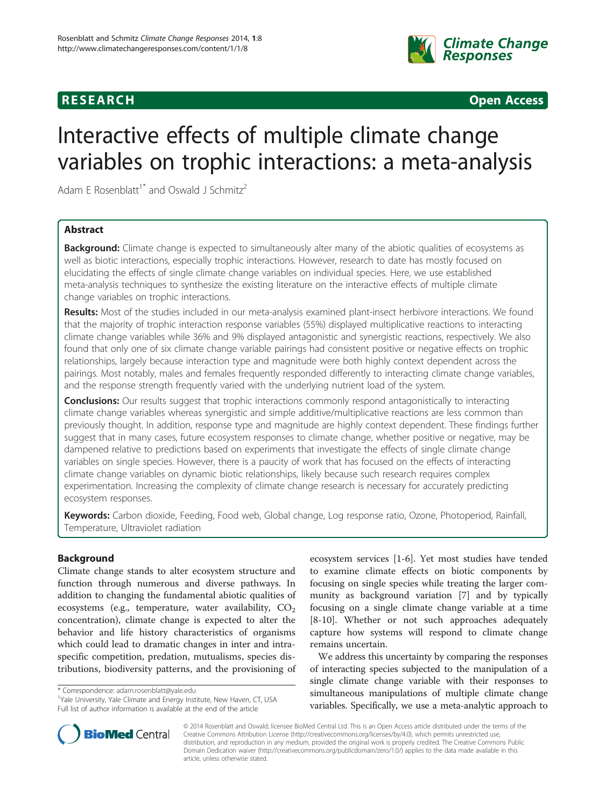## **RESEARCH CHINESEARCH CHINESEARCH**



# Interactive effects of multiple climate change variables on trophic interactions: a meta-analysis

Adam E Rosenblatt<sup>1\*</sup> and Oswald J Schmitz<sup>2</sup>

## Abstract

**Background:** Climate change is expected to simultaneously alter many of the abiotic qualities of ecosystems as well as biotic interactions, especially trophic interactions. However, research to date has mostly focused on elucidating the effects of single climate change variables on individual species. Here, we use established meta-analysis techniques to synthesize the existing literature on the interactive effects of multiple climate change variables on trophic interactions.

Results: Most of the studies included in our meta-analysis examined plant-insect herbivore interactions. We found that the majority of trophic interaction response variables (55%) displayed multiplicative reactions to interacting climate change variables while 36% and 9% displayed antagonistic and synergistic reactions, respectively. We also found that only one of six climate change variable pairings had consistent positive or negative effects on trophic relationships, largely because interaction type and magnitude were both highly context dependent across the pairings. Most notably, males and females frequently responded differently to interacting climate change variables, and the response strength frequently varied with the underlying nutrient load of the system.

**Conclusions:** Our results suggest that trophic interactions commonly respond antagonistically to interacting climate change variables whereas synergistic and simple additive/multiplicative reactions are less common than previously thought. In addition, response type and magnitude are highly context dependent. These findings further suggest that in many cases, future ecosystem responses to climate change, whether positive or negative, may be dampened relative to predictions based on experiments that investigate the effects of single climate change variables on single species. However, there is a paucity of work that has focused on the effects of interacting climate change variables on dynamic biotic relationships, likely because such research requires complex experimentation. Increasing the complexity of climate change research is necessary for accurately predicting ecosystem responses.

Keywords: Carbon dioxide, Feeding, Food web, Global change, Log response ratio, Ozone, Photoperiod, Rainfall, Temperature, Ultraviolet radiation

## Background

Climate change stands to alter ecosystem structure and function through numerous and diverse pathways. In addition to changing the fundamental abiotic qualities of ecosystems (e.g., temperature, water availability,  $CO<sub>2</sub>$ concentration), climate change is expected to alter the behavior and life history characteristics of organisms which could lead to dramatic changes in inter and intraspecific competition, predation, mutualisms, species distributions, biodiversity patterns, and the provisioning of

\* Correspondence: [adam.rosenblatt@yale.edu](mailto:adam.rosenblatt@yale.edu) <sup>1</sup>

ecosystem services [[1-6](#page-7-0)]. Yet most studies have tended to examine climate effects on biotic components by focusing on single species while treating the larger community as background variation [[7\]](#page-7-0) and by typically focusing on a single climate change variable at a time [[8-10](#page-7-0)]. Whether or not such approaches adequately capture how systems will respond to climate change remains uncertain.

We address this uncertainty by comparing the responses of interacting species subjected to the manipulation of a single climate change variable with their responses to simultaneous manipulations of multiple climate change variables. Specifically, we use a meta-analytic approach to



© 2014 Rosenblatt and Oswald; licensee BioMed Central Ltd. This is an Open Access article distributed under the terms of the Creative Commons Attribution License (<http://creativecommons.org/licenses/by/4.0>), which permits unrestricted use, distribution, and reproduction in any medium, provided the original work is properly credited. The Creative Commons Public Domain Dedication waiver [\(http://creativecommons.org/publicdomain/zero/1.0/\)](http://creativecommons.org/publicdomain/zero/1.0/) applies to the data made available in this article, unless otherwise stated.

<sup>&</sup>lt;sup>1</sup>Yale University, Yale Climate and Energy Institute, New Haven, CT, USA Full list of author information is available at the end of the article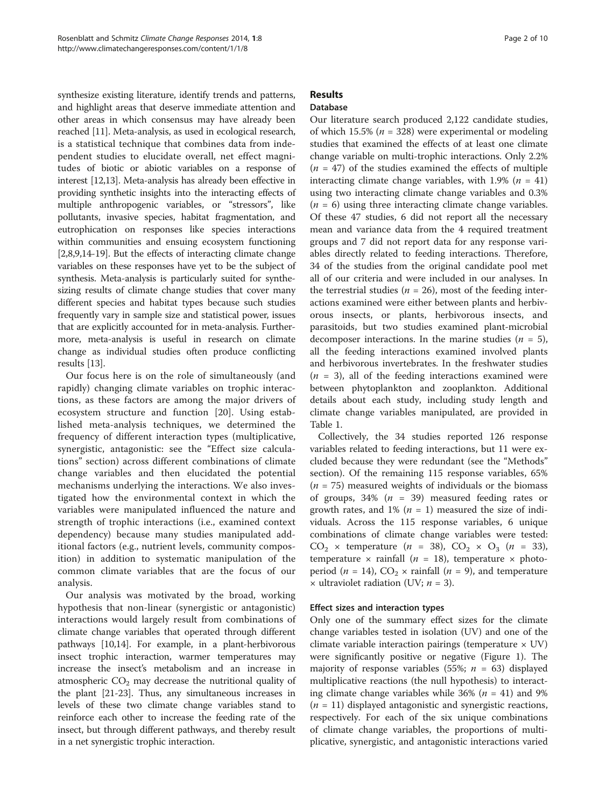synthesize existing literature, identify trends and patterns, and highlight areas that deserve immediate attention and other areas in which consensus may have already been reached [[11](#page-7-0)]. Meta-analysis, as used in ecological research, is a statistical technique that combines data from independent studies to elucidate overall, net effect magnitudes of biotic or abiotic variables on a response of interest [\[12,13](#page-7-0)]. Meta-analysis has already been effective in providing synthetic insights into the interacting effects of multiple anthropogenic variables, or "stressors", like pollutants, invasive species, habitat fragmentation, and eutrophication on responses like species interactions within communities and ensuing ecosystem functioning [[2,8](#page-7-0),[9,14](#page-7-0)-[19](#page-7-0)]. But the effects of interacting climate change variables on these responses have yet to be the subject of synthesis. Meta-analysis is particularly suited for synthesizing results of climate change studies that cover many different species and habitat types because such studies frequently vary in sample size and statistical power, issues that are explicitly accounted for in meta-analysis. Furthermore, meta-analysis is useful in research on climate change as individual studies often produce conflicting results [[13](#page-7-0)].

Our focus here is on the role of simultaneously (and rapidly) changing climate variables on trophic interactions, as these factors are among the major drivers of ecosystem structure and function [\[20](#page-7-0)]. Using established meta-analysis techniques, we determined the frequency of different interaction types (multiplicative, synergistic, antagonistic: see the "[Effect size calcula](#page-6-0)[tions](#page-6-0)" section) across different combinations of climate change variables and then elucidated the potential mechanisms underlying the interactions. We also investigated how the environmental context in which the variables were manipulated influenced the nature and strength of trophic interactions (i.e., examined context dependency) because many studies manipulated additional factors (e.g., nutrient levels, community composition) in addition to systematic manipulation of the common climate variables that are the focus of our analysis.

Our analysis was motivated by the broad, working hypothesis that non-linear (synergistic or antagonistic) interactions would largely result from combinations of climate change variables that operated through different pathways [\[10,14\]](#page-7-0). For example, in a plant-herbivorous insect trophic interaction, warmer temperatures may increase the insect's metabolism and an increase in atmospheric  $CO<sub>2</sub>$  may decrease the nutritional quality of the plant [\[21-23\]](#page-7-0). Thus, any simultaneous increases in levels of these two climate change variables stand to reinforce each other to increase the feeding rate of the insect, but through different pathways, and thereby result in a net synergistic trophic interaction.

## Results

## Database

Our literature search produced 2,122 candidate studies, of which 15.5% ( $n = 328$ ) were experimental or modeling studies that examined the effects of at least one climate change variable on multi-trophic interactions. Only 2.2%  $(n = 47)$  of the studies examined the effects of multiple interacting climate change variables, with 1.9% ( $n = 41$ ) using two interacting climate change variables and 0.3%  $(n = 6)$  using three interacting climate change variables. Of these 47 studies, 6 did not report all the necessary mean and variance data from the 4 required treatment groups and 7 did not report data for any response variables directly related to feeding interactions. Therefore, 34 of the studies from the original candidate pool met all of our criteria and were included in our analyses. In the terrestrial studies ( $n = 26$ ), most of the feeding interactions examined were either between plants and herbivorous insects, or plants, herbivorous insects, and parasitoids, but two studies examined plant-microbial decomposer interactions. In the marine studies  $(n = 5)$ , all the feeding interactions examined involved plants and herbivorous invertebrates. In the freshwater studies  $(n = 3)$ , all of the feeding interactions examined were between phytoplankton and zooplankton. Additional details about each study, including study length and climate change variables manipulated, are provided in Table [1.](#page-2-0)

Collectively, the 34 studies reported 126 response variables related to feeding interactions, but 11 were excluded because they were redundant (see the "[Methods](#page-5-0)" section). Of the remaining 115 response variables, 65%  $(n = 75)$  measured weights of individuals or the biomass of groups,  $34\%$  ( $n = 39$ ) measured feeding rates or growth rates, and 1% ( $n = 1$ ) measured the size of individuals. Across the 115 response variables, 6 unique combinations of climate change variables were tested:  $CO<sub>2</sub> \times$  temperature (*n* = 38),  $CO<sub>2</sub> \times O<sub>3</sub>$  (*n* = 33), temperature  $\times$  rainfall ( $n = 18$ ), temperature  $\times$  photoperiod ( $n = 14$ ), CO<sub>2</sub> × rainfall ( $n = 9$ ), and temperature  $\times$  ultraviolet radiation (UV;  $n = 3$ ).

## Effect sizes and interaction types

Only one of the summary effect sizes for the climate change variables tested in isolation (UV) and one of the climate variable interaction pairings (temperature  $\times$  UV) were significantly positive or negative (Figure [1\)](#page-3-0). The majority of response variables (55%;  $n = 63$ ) displayed multiplicative reactions (the null hypothesis) to interacting climate change variables while 36% ( $n = 41$ ) and 9%  $(n = 11)$  displayed antagonistic and synergistic reactions, respectively. For each of the six unique combinations of climate change variables, the proportions of multiplicative, synergistic, and antagonistic interactions varied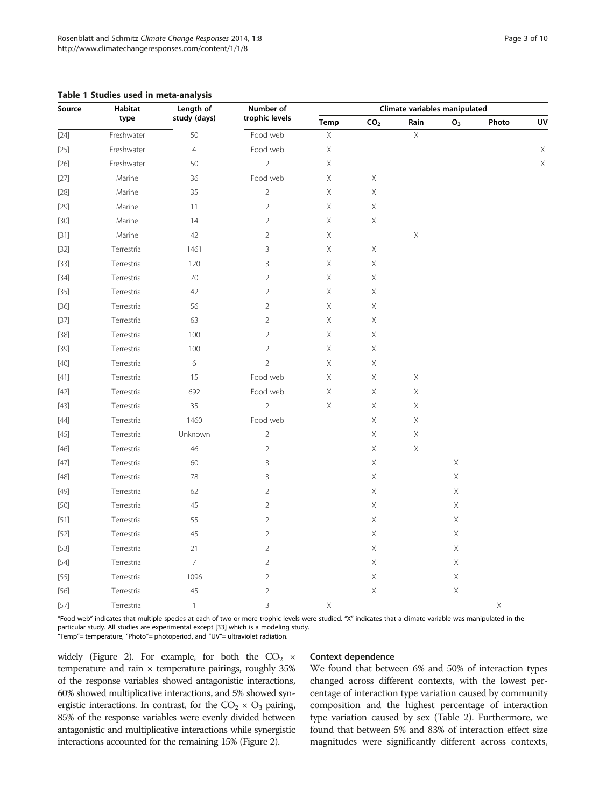<span id="page-2-0"></span>Table 1 Studies used in meta-analysis

| Source | Habitat<br>type | Length of<br>study (days) | Number of<br>trophic levels | Climate variables manipulated |                 |             |                |             |             |
|--------|-----------------|---------------------------|-----------------------------|-------------------------------|-----------------|-------------|----------------|-------------|-------------|
|        |                 |                           |                             | Temp                          | CO <sub>2</sub> | Rain        | O <sub>3</sub> | Photo       | UV          |
| $[24]$ | Freshwater      | 50                        | Food web                    | $\mathsf X$                   |                 | $\mathsf X$ |                |             |             |
| $[25]$ | Freshwater      | $\overline{4}$            | Food web                    | X                             |                 |             |                |             | $\mathsf X$ |
| $[26]$ | Freshwater      | 50                        | $\overline{2}$              | X                             |                 |             |                |             | $\mathsf X$ |
| [27]   | Marine          | 36                        | Food web                    | X                             | $\mathsf X$     |             |                |             |             |
| $[28]$ | Marine          | 35                        | $\overline{2}$              | X                             | $\mathsf X$     |             |                |             |             |
| $[29]$ | Marine          | 11                        | $\overline{2}$              | X                             | $\mathsf X$     |             |                |             |             |
| $[30]$ | Marine          | 14                        | $\overline{2}$              | $\times$                      | X               |             |                |             |             |
| $[31]$ | Marine          | 42                        | $\sqrt{2}$                  | X                             |                 | X           |                |             |             |
| $[32]$ | Terrestrial     | 1461                      | 3                           | X                             | $\mathsf X$     |             |                |             |             |
| $[33]$ | Terrestrial     | 120                       | $\mathsf 3$                 | $\times$                      | X               |             |                |             |             |
| $[34]$ | Terrestrial     | 70                        | $\sqrt{2}$                  | X                             | $\mathsf X$     |             |                |             |             |
| $[35]$ | Terrestrial     | 42                        | $\sqrt{2}$                  | X                             | X               |             |                |             |             |
| $[36]$ | Terrestrial     | 56                        | $\overline{2}$              | X                             | X               |             |                |             |             |
| [37]   | Terrestrial     | 63                        | $\sqrt{2}$                  | X                             | $\mathsf X$     |             |                |             |             |
| $[38]$ | Terrestrial     | 100                       | $\sqrt{2}$                  | X                             | $\mathsf X$     |             |                |             |             |
| $[39]$ | Terrestrial     | 100                       | $\sqrt{2}$                  | X                             | Χ               |             |                |             |             |
| $[40]$ | Terrestrial     | 6                         | $\sqrt{2}$                  | X                             | X               |             |                |             |             |
| $[41]$ | Terrestrial     | 15                        | Food web                    | X                             | X               | $\mathsf X$ |                |             |             |
| $[42]$ | Terrestrial     | 692                       | Food web                    | $\times$                      | Χ               | X           |                |             |             |
| $[43]$ | Terrestrial     | 35                        | $\sqrt{2}$                  | X                             | $\mathsf X$     | X           |                |             |             |
| $[44]$ | Terrestrial     | 1460                      | Food web                    |                               | $\mathsf X$     | X           |                |             |             |
| $[45]$ | Terrestrial     | Unknown                   | $\sqrt{2}$                  |                               | Χ               | X           |                |             |             |
| $[46]$ | Terrestrial     | 46                        | $\sqrt{2}$                  |                               | Χ               | $\mathsf X$ |                |             |             |
| $[47]$ | Terrestrial     | 60                        | 3                           |                               | Χ               |             | X              |             |             |
| $[48]$ | Terrestrial     | 78                        | 3                           |                               | Χ               |             | X              |             |             |
| $[49]$ | Terrestrial     | 62                        | $\sqrt{2}$                  |                               | $\mathsf X$     |             | X              |             |             |
| $[50]$ | Terrestrial     | 45                        | $\sqrt{2}$                  |                               | Χ               |             | X              |             |             |
| $[51]$ | Terrestrial     | 55                        | $\sqrt{2}$                  |                               | $\mathsf X$     |             | X              |             |             |
| $[52]$ | Terrestrial     | 45                        | $\sqrt{2}$                  |                               | $\mathsf X$     |             | $\mathsf X$    |             |             |
| $[53]$ | Terrestrial     | 21                        | $\sqrt{2}$                  |                               | Χ               |             | $\mathsf X$    |             |             |
| $[54]$ | Terrestrial     | $\overline{7}$            | $\sqrt{2}$                  |                               | Χ               |             | $\mathsf X$    |             |             |
| [55]   | Terrestrial     | 1096                      | $\sqrt{2}$                  |                               | $\mathsf X$     |             | $\mathsf X$    |             |             |
| $[56]$ | Terrestrial     | 45                        | $\sqrt{2}$                  |                               | $\mathsf X$     |             | $\mathsf X$    |             |             |
| $[57]$ | Terrestrial     | $\mathbf{1}$              | 3                           | Χ                             |                 |             |                | $\mathsf X$ |             |

"Food web" indicates that multiple species at each of two or more trophic levels were studied. "X" indicates that a climate variable was manipulated in the particular study. All studies are experimental except [[33\]](#page-8-0) which is a modeling study.

"Temp"= temperature, "Photo"= photoperiod, and "UV"= ultraviolet radiation.

widely (Figure [2\)](#page-3-0). For example, for both the  $CO_2 \times$ temperature and rain  $\times$  temperature pairings, roughly 35% of the response variables showed antagonistic interactions, 60% showed multiplicative interactions, and 5% showed synergistic interactions. In contrast, for the  $CO_2 \times O_3$  pairing, 85% of the response variables were evenly divided between antagonistic and multiplicative interactions while synergistic interactions accounted for the remaining 15% (Figure [2](#page-3-0)).

## Context dependence

We found that between 6% and 50% of interaction types changed across different contexts, with the lowest percentage of interaction type variation caused by community composition and the highest percentage of interaction type variation caused by sex (Table [2\)](#page-4-0). Furthermore, we found that between 5% and 83% of interaction effect size magnitudes were significantly different across contexts,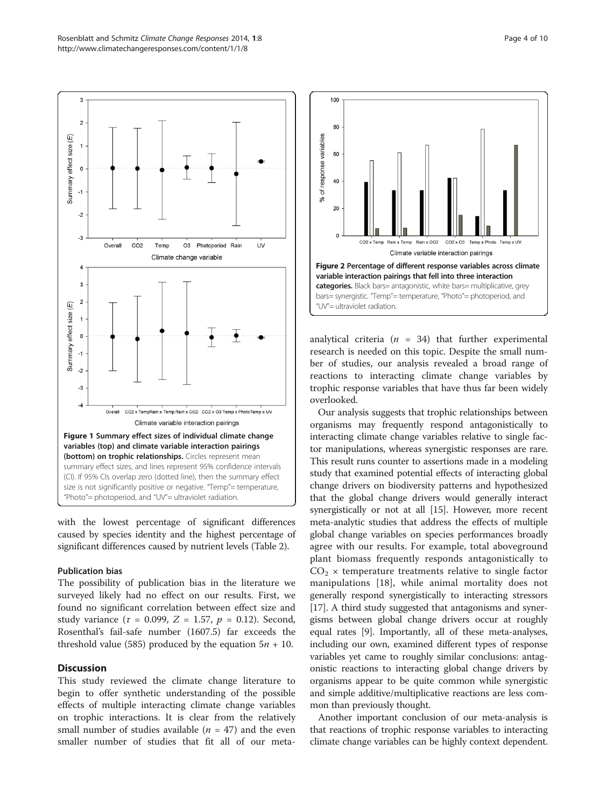<span id="page-3-0"></span>

with the lowest percentage of significant differences caused by species identity and the highest percentage of significant differences caused by nutrient levels (Table [2](#page-4-0)).

## Publication bias

The possibility of publication bias in the literature we surveyed likely had no effect on our results. First, we found no significant correlation between effect size and study variance ( $\tau = 0.099$ ,  $Z = 1.57$ ,  $p = 0.12$ ). Second, Rosenthal's fail-safe number (1607.5) far exceeds the threshold value (585) produced by the equation  $5n + 10$ .

## **Discussion**

This study reviewed the climate change literature to begin to offer synthetic understanding of the possible effects of multiple interacting climate change variables on trophic interactions. It is clear from the relatively small number of studies available ( $n = 47$ ) and the even smaller number of studies that fit all of our meta-



analytical criteria ( $n = 34$ ) that further experimental research is needed on this topic. Despite the small number of studies, our analysis revealed a broad range of reactions to interacting climate change variables by trophic response variables that have thus far been widely overlooked.

Our analysis suggests that trophic relationships between organisms may frequently respond antagonistically to interacting climate change variables relative to single factor manipulations, whereas synergistic responses are rare. This result runs counter to assertions made in a modeling study that examined potential effects of interacting global change drivers on biodiversity patterns and hypothesized that the global change drivers would generally interact synergistically or not at all [\[15\]](#page-7-0). However, more recent meta-analytic studies that address the effects of multiple global change variables on species performances broadly agree with our results. For example, total aboveground plant biomass frequently responds antagonistically to  $CO<sub>2</sub>$  × temperature treatments relative to single factor manipulations [[18](#page-7-0)], while animal mortality does not generally respond synergistically to interacting stressors [[17](#page-7-0)]. A third study suggested that antagonisms and synergisms between global change drivers occur at roughly equal rates [\[9](#page-7-0)]. Importantly, all of these meta-analyses, including our own, examined different types of response variables yet came to roughly similar conclusions: antagonistic reactions to interacting global change drivers by organisms appear to be quite common while synergistic and simple additive/multiplicative reactions are less common than previously thought.

Another important conclusion of our meta-analysis is that reactions of trophic response variables to interacting climate change variables can be highly context dependent.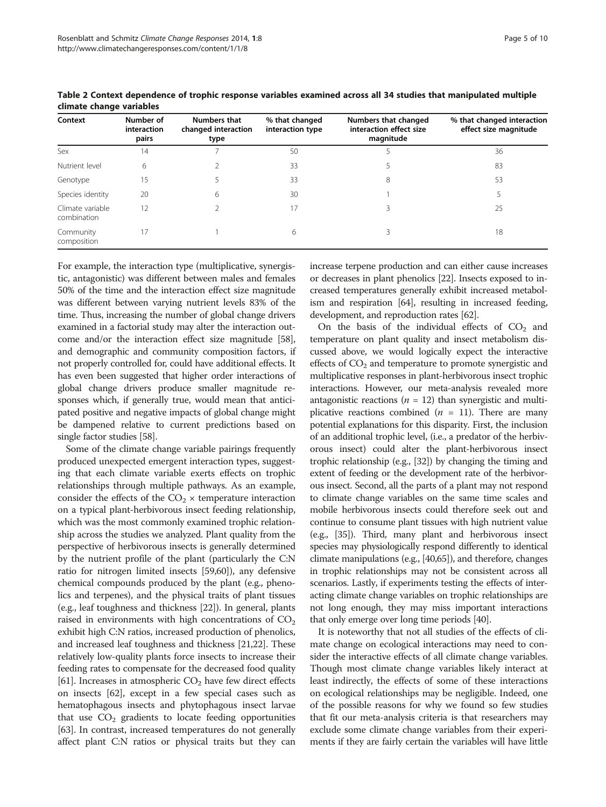| Context                         | Number of<br>interaction<br>pairs | <b>Numbers that</b><br>changed interaction<br>type | % that changed<br>interaction type | Numbers that changed<br>interaction effect size<br>magnitude | % that changed interaction<br>effect size magnitude |
|---------------------------------|-----------------------------------|----------------------------------------------------|------------------------------------|--------------------------------------------------------------|-----------------------------------------------------|
| Sex                             | 14                                |                                                    | 50                                 |                                                              | 36                                                  |
| Nutrient level                  | 6                                 |                                                    | 33                                 |                                                              | 83                                                  |
| Genotype                        | 15                                |                                                    | 33                                 | 8                                                            | 53                                                  |
| Species identity                | 20                                | 6                                                  | 30                                 |                                                              |                                                     |
| Climate variable<br>combination | 12                                |                                                    | 17                                 | 3                                                            | 25                                                  |
| Community<br>composition        | 17                                |                                                    | 6                                  |                                                              | 18                                                  |

<span id="page-4-0"></span>Table 2 Context dependence of trophic response variables examined across all 34 studies that manipulated multiple climate change variables

For example, the interaction type (multiplicative, synergistic, antagonistic) was different between males and females 50% of the time and the interaction effect size magnitude was different between varying nutrient levels 83% of the time. Thus, increasing the number of global change drivers examined in a factorial study may alter the interaction outcome and/or the interaction effect size magnitude [\[58](#page-8-0)], and demographic and community composition factors, if not properly controlled for, could have additional effects. It has even been suggested that higher order interactions of global change drivers produce smaller magnitude responses which, if generally true, would mean that anticipated positive and negative impacts of global change might be dampened relative to current predictions based on single factor studies [\[58\]](#page-8-0).

Some of the climate change variable pairings frequently produced unexpected emergent interaction types, suggesting that each climate variable exerts effects on trophic relationships through multiple pathways. As an example, consider the effects of the  $CO<sub>2</sub> \times$  temperature interaction on a typical plant-herbivorous insect feeding relationship, which was the most commonly examined trophic relationship across the studies we analyzed. Plant quality from the perspective of herbivorous insects is generally determined by the nutrient profile of the plant (particularly the C:N ratio for nitrogen limited insects [\[59,60](#page-8-0)]), any defensive chemical compounds produced by the plant (e.g., phenolics and terpenes), and the physical traits of plant tissues (e.g., leaf toughness and thickness [[22](#page-7-0)]). In general, plants raised in environments with high concentrations of  $CO<sub>2</sub>$ exhibit high C:N ratios, increased production of phenolics, and increased leaf toughness and thickness [\[21,22](#page-7-0)]. These relatively low-quality plants force insects to increase their feeding rates to compensate for the decreased food quality [[61](#page-8-0)]. Increases in atmospheric  $CO<sub>2</sub>$  have few direct effects on insects [[62](#page-8-0)], except in a few special cases such as hematophagous insects and phytophagous insect larvae that use  $CO<sub>2</sub>$  gradients to locate feeding opportunities [[63](#page-8-0)]. In contrast, increased temperatures do not generally affect plant C:N ratios or physical traits but they can increase terpene production and can either cause increases or decreases in plant phenolics [[22](#page-7-0)]. Insects exposed to increased temperatures generally exhibit increased metabolism and respiration [\[64](#page-8-0)], resulting in increased feeding, development, and reproduction rates [\[62\]](#page-8-0).

On the basis of the individual effects of  $CO<sub>2</sub>$  and temperature on plant quality and insect metabolism discussed above, we would logically expect the interactive effects of  $CO<sub>2</sub>$  and temperature to promote synergistic and multiplicative responses in plant-herbivorous insect trophic interactions. However, our meta-analysis revealed more antagonistic reactions ( $n = 12$ ) than synergistic and multiplicative reactions combined ( $n = 11$ ). There are many potential explanations for this disparity. First, the inclusion of an additional trophic level, (i.e., a predator of the herbivorous insect) could alter the plant-herbivorous insect trophic relationship (e.g., [[32](#page-8-0)]) by changing the timing and extent of feeding or the development rate of the herbivorous insect. Second, all the parts of a plant may not respond to climate change variables on the same time scales and mobile herbivorous insects could therefore seek out and continue to consume plant tissues with high nutrient value (e.g., [\[35](#page-8-0)]). Third, many plant and herbivorous insect species may physiologically respond differently to identical climate manipulations (e.g., [\[40,65](#page-8-0)]), and therefore, changes in trophic relationships may not be consistent across all scenarios. Lastly, if experiments testing the effects of interacting climate change variables on trophic relationships are not long enough, they may miss important interactions that only emerge over long time periods [\[40\]](#page-8-0).

It is noteworthy that not all studies of the effects of climate change on ecological interactions may need to consider the interactive effects of all climate change variables. Though most climate change variables likely interact at least indirectly, the effects of some of these interactions on ecological relationships may be negligible. Indeed, one of the possible reasons for why we found so few studies that fit our meta-analysis criteria is that researchers may exclude some climate change variables from their experiments if they are fairly certain the variables will have little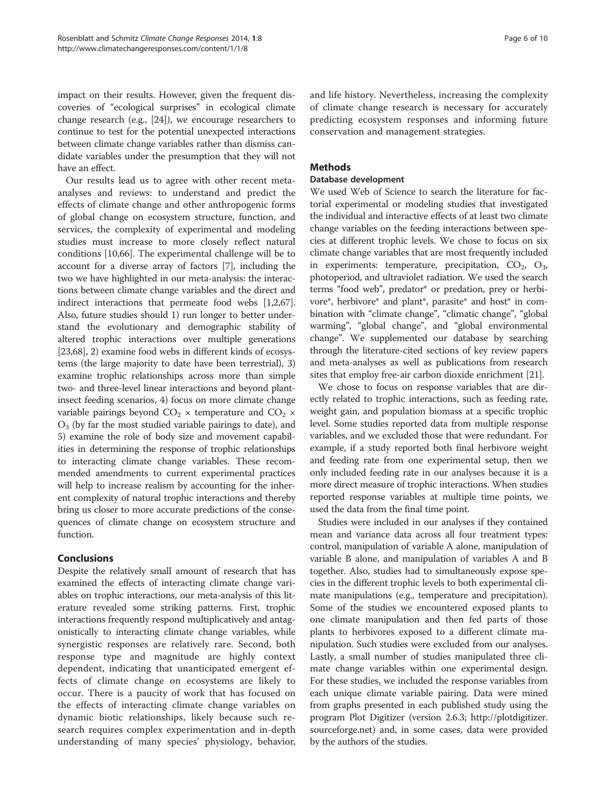<span id="page-5-0"></span>impact on their results. However, given the frequent discoveries of "ecological surprises" in ecological climate change research (e.g., [\[24](#page-7-0)]), we encourage researchers to continue to test for the potential unexpected interactions between climate change variables rather than dismiss candidate variables under the presumption that they will not have an effect.

Our results lead us to agree with other recent metaanalyses and reviews: to understand and predict the effects of climate change and other anthropogenic forms of global change on ecosystem structure, function, and services, the complexity of experimental and modeling studies must increase to more closely reflect natural conditions [[10](#page-7-0),[66](#page-8-0)]. The experimental challenge will be to account for a diverse array of factors [\[7](#page-7-0)], including the two we have highlighted in our meta-analysis: the interactions between climate change variables and the direct and indirect interactions that permeate food webs [\[1,2,](#page-7-0)[67](#page-8-0)]. Also, future studies should 1) run longer to better understand the evolutionary and demographic stability of altered trophic interactions over multiple generations [[23](#page-7-0)[,68](#page-8-0)], 2) examine food webs in different kinds of ecosystems (the large majority to date have been terrestrial), 3) examine trophic relationships across more than simple two- and three-level linear interactions and beyond plantinsect feeding scenarios, 4) focus on more climate change variable pairings beyond  $CO_2 \times$  temperature and  $CO_2 \times$  $O<sub>3</sub>$  (by far the most studied variable pairings to date), and 5) examine the role of body size and movement capabilities in determining the response of trophic relationships to interacting climate change variables. These recommended amendments to current experimental practices will help to increase realism by accounting for the inherent complexity of natural trophic interactions and thereby bring us closer to more accurate predictions of the consequences of climate change on ecosystem structure and function.

## Conclusions

Despite the relatively small amount of research that has examined the effects of interacting climate change variables on trophic interactions, our meta-analysis of this literature revealed some striking patterns. First, trophic interactions frequently respond multiplicatively and antagonistically to interacting climate change variables, while synergistic responses are relatively rare. Second, both response type and magnitude are highly context dependent, indicating that unanticipated emergent effects of climate change on ecosystems are likely to occur. There is a paucity of work that has focused on the effects of interacting climate change variables on dynamic biotic relationships, likely because such research requires complex experimentation and in-depth understanding of many species' physiology, behavior, and life history. Nevertheless, increasing the complexity of climate change research is necessary for accurately predicting ecosystem responses and informing future conservation and management strategies.

## Methods

## Database development

We used Web of Science to search the literature for factorial experimental or modeling studies that investigated the individual and interactive effects of at least two climate change variables on the feeding interactions between species at different trophic levels. We chose to focus on six climate change variables that are most frequently included in experiments: temperature, precipitation,  $CO_2$ ,  $O_3$ , photoperiod, and ultraviolet radiation. We used the search terms "food web", predator\* or predation, prey or herbivore\*, herbivore\* and plant\*, parasite\* and host\* in combination with "climate change", "climatic change", "global warming", "global change", and "global environmental change". We supplemented our database by searching through the literature-cited sections of key review papers and meta-analyses as well as publications from research sites that employ free-air carbon dioxide enrichment [\[21\]](#page-7-0).

We chose to focus on response variables that are directly related to trophic interactions, such as feeding rate, weight gain, and population biomass at a specific trophic level. Some studies reported data from multiple response variables, and we excluded those that were redundant. For example, if a study reported both final herbivore weight and feeding rate from one experimental setup, then we only included feeding rate in our analyses because it is a more direct measure of trophic interactions. When studies reported response variables at multiple time points, we used the data from the final time point.

Studies were included in our analyses if they contained mean and variance data across all four treatment types: control, manipulation of variable A alone, manipulation of variable B alone, and manipulation of variables A and B together. Also, studies had to simultaneously expose species in the different trophic levels to both experimental climate manipulations (e.g., temperature and precipitation). Some of the studies we encountered exposed plants to one climate manipulation and then fed parts of those plants to herbivores exposed to a different climate manipulation. Such studies were excluded from our analyses. Lastly, a small number of studies manipulated three climate change variables within one experimental design. For these studies, we included the response variables from each unique climate variable pairing. Data were mined from graphs presented in each published study using the program Plot Digitizer (version 2.6.3; [http://plotdigitizer.](http://plotdigitizer.sourceforge.net) [sourceforge.net](http://plotdigitizer.sourceforge.net)) and, in some cases, data were provided by the authors of the studies.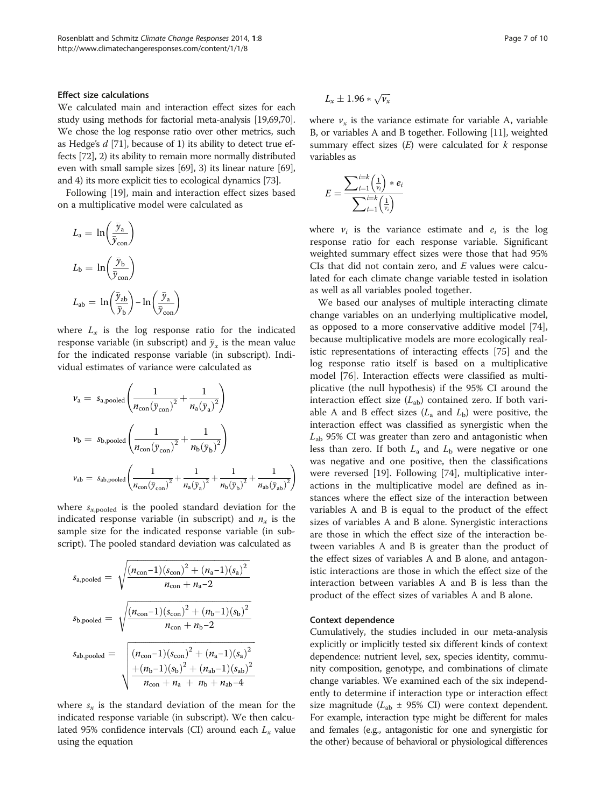#### <span id="page-6-0"></span>Effect size calculations

We calculated main and interaction effect sizes for each study using methods for factorial meta-analysis [[19](#page-7-0)[,69,70](#page-8-0)]. We chose the log response ratio over other metrics, such as Hedge's d [\[71\]](#page-8-0), because of 1) its ability to detect true effects [\[72\]](#page-8-0), 2) its ability to remain more normally distributed even with small sample sizes [[69](#page-8-0)], 3) its linear nature [[69](#page-8-0)], and 4) its more explicit ties to ecological dynamics [[73](#page-9-0)].

Following [\[19](#page-7-0)], main and interaction effect sizes based on a multiplicative model were calculated as

$$
L_{\rm a} = \ln\left(\frac{\bar{y}_{\rm a}}{\bar{y}_{\rm con}}\right)
$$
  
\n
$$
L_{\rm b} = \ln\left(\frac{\bar{y}_{\rm b}}{\bar{y}_{\rm con}}\right)
$$
  
\n
$$
L_{\rm ab} = \ln\left(\frac{\bar{y}_{\rm ab}}{\bar{y}_{\rm b}}\right) - \ln\left(\frac{\bar{y}_{\rm a}}{\bar{y}_{\rm con}}\right)
$$

where  $L_x$  is the log response ratio for the indicated response variable (in subscript) and  $\bar{y}_x$  is the mean value for the indicated response variable (in subscript). Individual estimates of variance were calculated as

$$
\begin{array}{l} \nu_{\rm a} = \ s_{\rm a, pooled}\Bigg(\displaystyle \frac{1}{n_{\rm con}(\bar{\boldsymbol{y}}_{\rm con})^2} + \frac{1}{n_{\rm a}(\bar{\boldsymbol{y}}_{\rm a})^2}\Bigg) \\ \\ \nu_{\rm b} = \ s_{\rm b, pooled}\Bigg(\displaystyle \frac{1}{n_{\rm con}(\bar{\boldsymbol{y}}_{\rm con})^2} + \frac{1}{n_{\rm b}(\bar{\boldsymbol{y}}_{\rm b})^2}\Bigg) \\ \\ \nu_{\rm ab} = \ s_{\rm ab, pooled}\Bigg(\displaystyle \frac{1}{n_{\rm con}(\bar{\boldsymbol{y}}_{\rm con})^2} + \frac{1}{n_{\rm a}(\bar{\boldsymbol{y}}_{\rm a})^2} + \frac{1}{n_{\rm b}(\bar{\boldsymbol{y}}_{\rm b})^2} + \frac{1}{n_{\rm ab}(\bar{\boldsymbol{y}}_{\rm ab})^2}\Bigg) \end{array}
$$

where  $s_{x,\text{pooled}}$  is the pooled standard deviation for the indicated response variable (in subscript) and  $n_x$  is the sample size for the indicated response variable (in subscript). The pooled standard deviation was calculated as

$$
s_{a, pooled} = \sqrt{\frac{(n_{con}-1)(s_{con})^2 + (n_a-1)(s_a)^2}{n_{con} + n_a - 2}}
$$
  
\n
$$
s_{b, pooled} = \sqrt{\frac{(n_{con}-1)(s_{con})^2 + (n_b-1)(s_b)^2}{n_{con} + n_b - 2}}
$$
  
\n
$$
s_{ab, pooled} = \sqrt{\frac{(n_{con}-1)(s_{con})^2 + (n_a-1)(s_a)^2}{n_{con} + (n_b-1)(s_b)^2 + (n_{ab}-1)(s_{ab})^2}}
$$

where  $s_x$  is the standard deviation of the mean for the indicated response variable (in subscript). We then calculated 95% confidence intervals (CI) around each  $L_x$  value using the equation

$$
\mathit{L}_x \pm 1.96 * \sqrt{\nu_x}
$$

where  $v_x$  is the variance estimate for variable A, variable B, or variables A and B together. Following [[11](#page-7-0)], weighted summary effect sizes  $(E)$  were calculated for  $k$  response variables as

$$
E = \frac{\sum_{i=1}^{i=k} \left(\frac{1}{v_i}\right) * e_i}{\sum_{i=1}^{i=k} \left(\frac{1}{v_i}\right)}
$$

where  $v_i$  is the variance estimate and  $e_i$  is the log response ratio for each response variable. Significant weighted summary effect sizes were those that had 95% CIs that did not contain zero, and  $E$  values were calculated for each climate change variable tested in isolation as well as all variables pooled together.

We based our analyses of multiple interacting climate change variables on an underlying multiplicative model, as opposed to a more conservative additive model [\[74](#page-9-0)], because multiplicative models are more ecologically realistic representations of interacting effects [\[75](#page-9-0)] and the log response ratio itself is based on a multiplicative model [[76](#page-9-0)]. Interaction effects were classified as multiplicative (the null hypothesis) if the 95% CI around the interaction effect size  $(L_{ab})$  contained zero. If both variable A and B effect sizes  $(L_a$  and  $L_b)$  were positive, the interaction effect was classified as synergistic when the  $L_{ab}$  95% CI was greater than zero and antagonistic when less than zero. If both  $L<sub>a</sub>$  and  $L<sub>b</sub>$  were negative or one was negative and one positive, then the classifications were reversed [[19\]](#page-7-0). Following [[74\]](#page-9-0), multiplicative interactions in the multiplicative model are defined as instances where the effect size of the interaction between variables A and B is equal to the product of the effect sizes of variables A and B alone. Synergistic interactions are those in which the effect size of the interaction between variables A and B is greater than the product of the effect sizes of variables A and B alone, and antagonistic interactions are those in which the effect size of the interaction between variables A and B is less than the product of the effect sizes of variables A and B alone.

#### Context dependence

Cumulatively, the studies included in our meta-analysis explicitly or implicitly tested six different kinds of context dependence: nutrient level, sex, species identity, community composition, genotype, and combinations of climate change variables. We examined each of the six independently to determine if interaction type or interaction effect size magnitude ( $L_{ab}$  ± 95% CI) were context dependent. For example, interaction type might be different for males and females (e.g., antagonistic for one and synergistic for the other) because of behavioral or physiological differences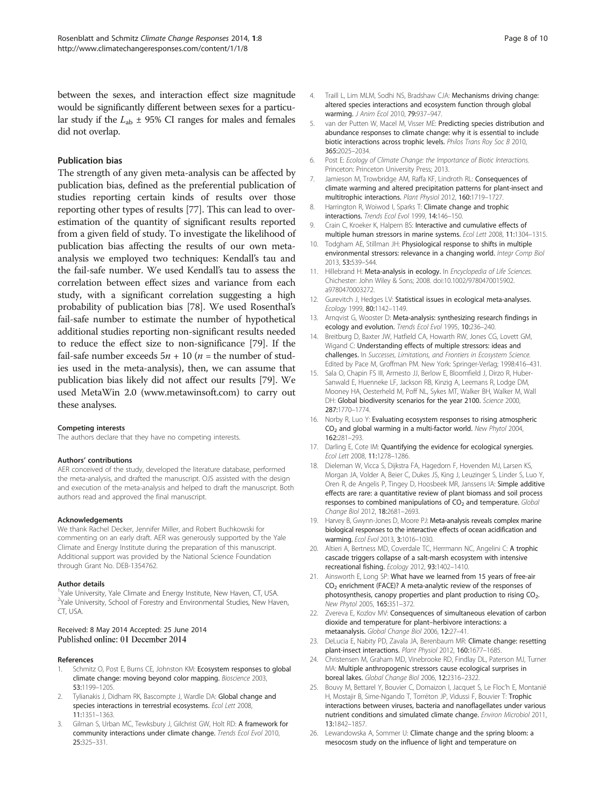<span id="page-7-0"></span>between the sexes, and interaction effect size magnitude would be significantly different between sexes for a particular study if the  $L_{ab}$  ± 95% CI ranges for males and females did not overlap.

#### Publication bias

The strength of any given meta-analysis can be affected by publication bias, defined as the preferential publication of studies reporting certain kinds of results over those reporting other types of results [[77](#page-9-0)]. This can lead to overestimation of the quantity of significant results reported from a given field of study. To investigate the likelihood of publication bias affecting the results of our own metaanalysis we employed two techniques: Kendall's tau and the fail-safe number. We used Kendall's tau to assess the correlation between effect sizes and variance from each study, with a significant correlation suggesting a high probability of publication bias [[78](#page-9-0)]. We used Rosenthal's fail-safe number to estimate the number of hypothetical additional studies reporting non-significant results needed to reduce the effect size to non-significance [\[79\]](#page-9-0). If the fail-safe number exceeds  $5n + 10$  ( $n =$  the number of studies used in the meta-analysis), then, we can assume that publication bias likely did not affect our results [[79\]](#page-9-0). We used MetaWin 2.0 ([www.metawinsoft.com](http://www.metawinsoft.com)) to carry out these analyses.

#### Competing interests

The authors declare that they have no competing interests.

#### Authors' contributions

AER conceived of the study, developed the literature database, performed the meta-analysis, and drafted the manuscript. OJS assisted with the design and execution of the meta-analysis and helped to draft the manuscript. Both authors read and approved the final manuscript.

#### Acknowledgements

We thank Rachel Decker, Jennifer Miller, and Robert Buchkowski for commenting on an early draft. AER was generously supported by the Yale Climate and Energy Institute during the preparation of this manuscript. Additional support was provided by the National Science Foundation through Grant No. DEB-1354762.

#### Author details

<sup>1</sup>Yale University, Yale Climate and Energy Institute, New Haven, CT, USA. <sup>2</sup>Yale University, School of Forestry and Environmental Studies, New Haven, CT, USA.

#### Received: 8 May 2014 Accepted: 25 June 2014 Published online: 01 December 2014

#### References

- 1. Schmitz O, Post E, Burns CE, Johnston KM: Ecosystem responses to global climate change: moving beyond color mapping. Bioscience 2003, 53:1199–1205.
- Tylianakis J, Didham RK, Bascompte J, Wardle DA: Global change and species interactions in terrestrial ecosystems. Ecol Lett 2008, 11:1351–1363.
- Gilman S, Urban MC, Tewksbury J, Gilchrist GW, Holt RD: A framework for community interactions under climate change. Trends Ecol Evol 2010, 25:325–331.
- 4. Traill L, Lim MLM, Sodhi NS, Bradshaw CJA: Mechanisms driving change: altered species interactions and ecosystem function through global warming. J Anim Ecol 2010, 79:937–947.
- 5. van der Putten W, Macel M, Visser ME: Predicting species distribution and abundance responses to climate change: why it is essential to include biotic interactions across trophic levels. Philos Trans Roy Soc B 2010, 365:2025–2034.
- 6. Post E: Ecology of Climate Change: the Importance of Biotic Interactions. Princeton: Princeton University Press; 2013.
- 7. Jamieson M, Trowbridge AM, Raffa KF, Lindroth RL: Consequences of climate warming and altered precipitation patterns for plant-insect and multitrophic interactions. Plant Physiol 2012, 160:1719–1727.
- 8. Harrington R, Woiwod I, Sparks T: Climate change and trophic interactions. Trends Ecol Evol 1999, 14:146–150.
- 9. Crain C, Kroeker K, Halpern BS: Interactive and cumulative effects of multiple human stressors in marine systems. Ecol Lett 2008, 11:1304–1315.
- 10. Todgham AE, Stillman JH: Physiological response to shifts in multiple environmental stressors: relevance in a changing world. Integr Comp Biol 2013, 53:539–544.
- 11. Hillebrand H: Meta-analysis in ecology. In Encyclopedia of Life Sciences. Chichester: John Wiley & Sons; 2008. doi:10.1002/9780470015902. a9780470003272.
- 12. Gurevitch J, Hedges LV: Statistical issues in ecological meta-analyses. Ecology 1999, 80:1142–1149.
- 13. Arnqvist G, Wooster D: Meta-analysis: synthesizing research findings in ecology and evolution. Trends Ecol Evol 1995, 10:236-240.
- 14. Breitburg D, Baxter JW, Hatfield CA, Howarth RW, Jones CG, Lovett GM, Wigand C: Understanding effects of multiple stressors: ideas and challenges. In Successes, Limitations, and Frontiers in Ecosystem Science. Edited by Pace M, Groffman PM. New York: Springer-Verlag; 1998:416–431.
- 15. Sala O, Chapin FS III, Armesto JJ, Berlow E, Bloomfield J, Dirzo R, Huber-Sanwald E, Huenneke LF, Jackson RB, Kinzig A, Leemans R, Lodge DM, Mooney HA, Oesterheld M, Poff NL, Sykes MT, Walker BH, Walker M, Wall DH: Global biodiversity scenarios for the year 2100. Science 2000, 287:1770–1774.
- 16. Norby R, Luo Y: Evaluating ecosystem responses to rising atmospheric  $CO<sub>2</sub>$  and global warming in a multi-factor world. New Phytol 2004, 162:281–293.
- 17. Darling E, Cote IM: Quantifying the evidence for ecological synergies. Ecol Lett 2008, 11:1278–1286.
- 18. Dieleman W, Vicca S, Dijkstra FA, Hagedorn F, Hovenden MJ, Larsen KS, Morgan JA, Volder A, Beier C, Dukes JS, King J, Leuzinger S, Linder S, Luo Y, Oren R, de Angelis P, Tingey D, Hoosbeek MR, Janssens IA: Simple additive effects are rare: a quantitative review of plant biomass and soil process responses to combined manipulations of  $CO<sub>2</sub>$  and temperature. Global Change Biol 2012, 18:2681–2693.
- 19. Harvey B, Gwynn-Jones D, Moore PJ: Meta-analysis reveals complex marine biological responses to the interactive effects of ocean acidification and warming. Ecol Evol 2013, 3:1016–1030.
- 20. Altieri A, Bertness MD, Coverdale TC, Herrmann NC, Angelini C: A trophic cascade triggers collapse of a salt-marsh ecosystem with intensive recreational fishing. Ecology 2012, 93:1402–1410.
- 21. Ainsworth E, Long SP: What have we learned from 15 years of free-air  $CO<sub>2</sub>$  enrichment (FACE)? A meta-analytic review of the responses of photosynthesis, canopy properties and plant production to rising CO<sub>2</sub>. New Phytol 2005, 165:351–372.
- 22. Zvereva E, Kozlov MV: Consequences of simultaneous elevation of carbon dioxide and temperature for plant–herbivore interactions: a metaanalysis. Global Change Biol 2006, 12:27–41.
- 23. DeLucia E, Nabity PD, Zavala JA, Berenbaum MR: Climate change: resetting plant-insect interactions. Plant Physiol 2012, 160:1677–1685.
- 24. Christensen M, Graham MD, Vinebrooke RD, Findlay DL, Paterson MJ, Turner MA: Multiple anthropogenic stressors cause ecological surprises in boreal lakes. Global Change Biol 2006, 12:2316–2322.
- 25. Bouvy M, Bettarel Y, Bouvier C, Domaizon I, Jacquet S, Le Floc'h E, Montanié H, Mostajir B, Sime-Ngando T, Torréton JP, Vidussi F, Bouvier T: Trophic interactions between viruses, bacteria and nanoflagellates under various nutrient conditions and simulated climate change. Environ Microbiol 2011, 13:1842–1857.
- 26. Lewandowska A, Sommer U: Climate change and the spring bloom: a mesocosm study on the influence of light and temperature on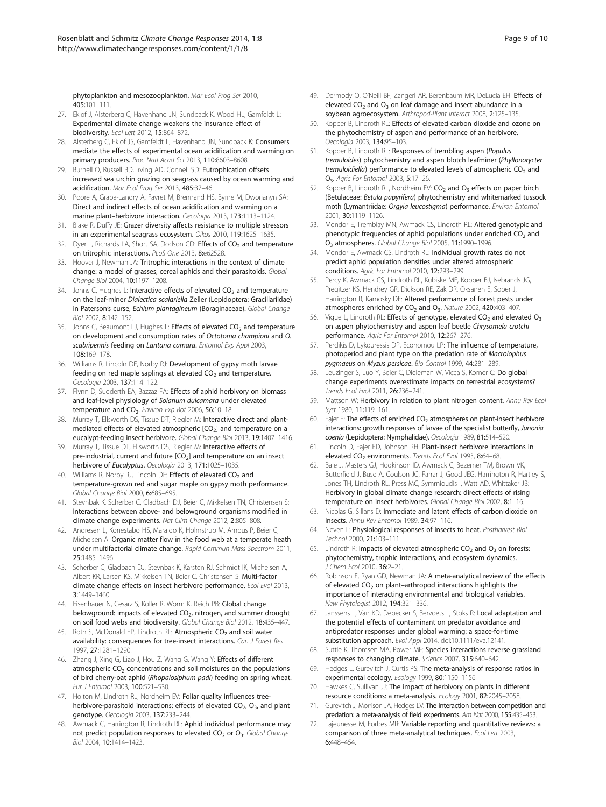<span id="page-8-0"></span>phytoplankton and mesozooplankton. Mar Ecol Prog Ser 2010, 405:101–111.

- 27. Eklof J, Alsterberg C, Havenhand JN, Sundback K, Wood HL, Gamfeldt L: Experimental climate change weakens the insurance effect of biodiversity. Ecol Lett 2012, 15:864-872.
- 28. Alsterberg C, Eklof JS, Gamfeldt L, Havenhand JN, Sundback K: Consumers mediate the effects of experimental ocean acidification and warming on primary producers. Proc Natl Acad Sci 2013, 110:8603-8608.
- 29. Burnell O, Russell BD, Irving AD, Connell SD: Eutrophication offsets increased sea urchin grazing on seagrass caused by ocean warming and acidification. Mar Ecol Prog Ser 2013, 485:37–46.
- 30. Poore A, Graba-Landry A, Favret M, Brennand HS, Byrne M, Dworjanyn SA: Direct and indirect effects of ocean acidification and warming on a marine plant–herbivore interaction. Oecologia 2013, 173:1113–1124.
- 31. Blake R, Duffy JE: Grazer diversity affects resistance to multiple stressors in an experimental seagrass ecosystem. Oikos 2010, 119:1625–1635.
- 32. Dyer L, Richards LA, Short SA, Dodson CD: Effects of CO<sub>2</sub> and temperature on tritrophic interactions. PLoS One 2013, 8:e62528.
- 33. Hoover J, Newman JA: Tritrophic interactions in the context of climate change: a model of grasses, cereal aphids and their parasitoids. Global Change Biol 2004, 10:1197–1208.
- 34. Johns C, Hughes L: Interactive effects of elevated  $CO<sub>2</sub>$  and temperature on the leaf-miner Dialectica scalariella Zeller (Lepidoptera: Gracillariidae) in Paterson's curse, Echium plantagineum (Boraginaceae). Global Change Biol 2002, 8:142–152.
- 35. Johns C, Beaumont LJ, Hughes L: Effects of elevated CO<sub>2</sub> and temperature on development and consumption rates of Octotoma championi and O. scabripennis feeding on Lantana camara. Entomol Exp Appl 2003, 108:169–178.
- 36. Williams R, Lincoln DE, Norby RJ: Development of gypsy moth larvae feeding on red maple saplings at elevated  $CO<sub>2</sub>$  and temperature. Oecologia 2003, 137:114–122.
- 37. Flynn D, Sudderth EA, Bazzaz FA: Effects of aphid herbivory on biomass and leaf-level physiology of Solanum dulcamara under elevated temperature and  $CO<sub>2</sub>$ . Environ Exp Bot 2006, 56:10-18.
- 38. Murray T, Ellsworth DS, Tissue DT, Riegler M: Interactive direct and plantmediated effects of elevated atmospheric [CO<sub>2</sub>] and temperature on a eucalypt-feeding insect herbivore. Global Change Biol 2013, 19:1407–1416.
- 39. Murray T, Tissue DT, Ellsworth DS, Riegler M: Interactive effects of pre-industrial, current and future  $[CO<sub>2</sub>]$  and temperature on an insect herbivore of Eucalyptus. Oecologia 2013, 171:1025-1035.
- 40. Williams R, Norby RJ, Lincoln DE: Effects of elevated CO<sub>2</sub> and temperature-grown red and sugar maple on gypsy moth performance. Global Change Biol 2000, 6:685–695.
- 41. Stevnbak K, Scherber C, Gladbach DJ, Beier C, Mikkelsen TN, Christensen S: Interactions between above- and belowground organisms modified in climate change experiments. Nat Clim Change 2012, 2:805–808.
- 42. Andresen L, Konestabo HS, Maraldo K, Holmstrup M, Ambus P, Beier C, Michelsen A: Organic matter flow in the food web at a temperate heath under multifactorial climate change. Rapid Commun Mass Spectrom 2011, 25:1485–1496.
- 43. Scherber C, Gladbach DJ, Stevnbak K, Karsten RJ, Schmidt IK, Michelsen A, Albert KR, Larsen KS, Mikkelsen TN, Beier C, Christensen S: Multi-factor climate change effects on insect herbivore performance. Ecol Evol 2013, 3:1449–1460.
- 44. Eisenhauer N, Cesarz S, Koller R, Worm K, Reich PB: Global change belowground: impacts of elevated  $CO<sub>2</sub>$ , nitrogen, and summer drought on soil food webs and biodiversity. Global Change Biol 2012, 18:435–447.
- 45. Roth S, McDonald EP, Lindroth RL: Atmospheric  $CO<sub>2</sub>$  and soil water availability: consequences for tree-insect interactions. Can J Forest Res 1997, 27:1281–1290.
- 46. Zhang J, Xing G, Liao J, Hou Z, Wang G, Wang Y: Effects of different atmospheric  $CO<sub>2</sub>$  concentrations and soil moistures on the populations of bird cherry-oat aphid (Rhopalosiphum padi) feeding on spring wheat. Eur J Entomol 2003, 100:521–530.
- 47. Holton M, Lindroth RL, Nordheim EV: Foliar quality influences treeherbivore-parasitoid interactions: effects of elevated  $CO<sub>2</sub>, O<sub>3</sub>$ , and plant genotype. Oecologia 2003, 137:233–244.
- 48. Awmack C, Harrington R, Lindroth RL: Aphid individual performance may not predict population responses to elevated  $CO<sub>2</sub>$  or  $O<sub>3</sub>$ . Global Change Biol 2004, 10:1414–1423.
- 49. Dermody O, O'Neill BF, Zangerl AR, Berenbaum MR, DeLucia EH: Effects of elevated  $CO<sub>2</sub>$  and  $O<sub>3</sub>$  on leaf damage and insect abundance in a soybean agroecosystem. Arthropod-Plant Interact 2008, 2:125–135.
- 50. Kopper B, Lindroth RL: Effects of elevated carbon dioxide and ozone on the phytochemistry of aspen and performance of an herbivore. Oecologia 2003, 134:95–103.
- 51. Kopper B, Lindroth RL: Responses of trembling aspen (Populus tremuloides) phytochemistry and aspen blotch leafminer (Phyllonorycter tremuloidiella) performance to elevated levels of atmospheric  $CO<sub>2</sub>$  and O3. Agric For Entomol 2003, 5:17–26.
- Kopper B, Lindroth RL, Nordheim EV:  $CO<sub>2</sub>$  and  $O<sub>3</sub>$  effects on paper birch (Betulaceae: Betula papyrifera) phytochemistry and whitemarked tussock moth (Lymantriidae: Orgyia leucostigma) performance. Environ Entomol 2001, 30:1119–1126.
- Mondor E, Tremblay MN, Awmack CS, Lindroth RL: Altered genotypic and phenotypic frequencies of aphid populations under enriched  $CO<sub>2</sub>$  and O3 atmospheres. Global Change Biol 2005, 11:1990–1996.
- 54. Mondor E, Awmack CS, Lindroth RL: Individual growth rates do not predict aphid population densities under altered atmospheric conditions. Agric For Entomol 2010, 12:293–299.
- 55. Percy K, Awmack CS, Lindroth RL, Kubiske ME, Kopper BJ, Isebrands JG, Pregitzer KS, Hendrey GR, Dickson RE, Zak DR, Oksanen E, Sober J, Harrington R, Karnosky DF: Altered performance of forest pests under atmospheres enriched by  $CO<sub>2</sub>$  and  $O<sub>3</sub>$ . Nature 2002, 420:403-407.
- Vigue L, Lindroth RL: Effects of genotype, elevated  $CO<sub>2</sub>$  and elevated  $O<sub>3</sub>$ on aspen phytochemistry and aspen leaf beetle Chrysomela crotchi performance. Agric For Entomol 2010, 12:267–276.
- 57. Perdikis D, Lykouressis DP, Economou LP: The influence of temperature, photoperiod and plant type on the predation rate of Macrolophus pygmaeus on Myzus persicae. Bio Control 1999, 44:281–289.
- 58. Leuzinger S, Luo Y, Beier C, Dieleman W, Vicca S, Korner C: Do global change experiments overestimate impacts on terrestrial ecosystems? Trends Ecol Evol 2011, 26:236–241.
- 59. Mattson W: Herbivory in relation to plant nitrogen content. Annu Rev Ecol Syst 1980, 11:119–161.
- 60. Fajer E: The effects of enriched  $CO<sub>2</sub>$  atmospheres on plant-insect herbivore interactions: growth responses of larvae of the specialist butterfly, Junonia coenia (Lepidoptera: Nymphalidae). Oecologia 1989, 81:514–520.
- 61. Lincoln D, Fajer ED, Johnson RH: Plant-insect herbivore interactions in elevated CO<sub>2</sub> environments. Trends Ecol Evol 1993, 8:64-68.
- 62. Bale J, Masters GJ, Hodkinson ID, Awmack C, Bezemer TM, Brown VK, Butterfield J, Buse A, Coulson JC, Farrar J, Good JEG, Harrington R, Hartley S, Jones TH, Lindroth RL, Press MC, Symrnioudis I, Watt AD, Whittaker JB: Herbivory in global climate change research: direct effects of rising temperature on insect herbivores. Global Change Biol 2002, 8:1-16.
- Nicolas G, Sillans D: Immediate and latent effects of carbon dioxide on insects. Annu Rev Entomol 1989, 34:97–116.
- 64. Neven L: Physiological responses of insects to heat. Postharvest Biol Technol 2000, 21:103–111.
- Lindroth R: Impacts of elevated atmospheric  $CO<sub>2</sub>$  and  $O<sub>3</sub>$  on forests: phytochemistry, trophic interactions, and ecosystem dynamics. J Chem Ecol 2010, 36:2-21.
- 66. Robinson E, Ryan GD, Newman JA: A meta-analytical review of the effects of elevated  $CO<sub>2</sub>$  on plant–arthropod interactions highlights the importance of interacting environmental and biological variables. New Phytologist 2012, 194:321–336.
- 67. Janssens L, Van KD, Debecker S, Bervoets L, Stoks R: Local adaptation and the potential effects of contaminant on predator avoidance and antipredator responses under global warming: a space-for-time substitution approach. Evol Appl 2014, doi:10.1111/eva.12141.
- 68. Suttle K, Thomsen MA, Power ME: Species interactions reverse grassland responses to changing climate. Science 2007, 315:640–642.
- 69. Hedges L, Gurevitch J, Curtis PS: The meta-analysis of response ratios in experimental ecology. Ecology 1999, 80:1150–1156.
- 70. Hawkes C, Sullivan JJ: The impact of herbivory on plants in different resource conditions: a meta-analysis. Ecology 2001, 82:2045–2058.
- 71. Gurevitch J, Morrison JA, Hedges LV: The interaction between competition and predation: a meta-analysis of field experiments. Am Nat 2000, 155:435–453.
- 72. Lajeunesse M, Forbes MR: Variable reporting and quantitative reviews: a comparison of three meta-analytical techniques. Ecol Lett 2003, 6:448–454.